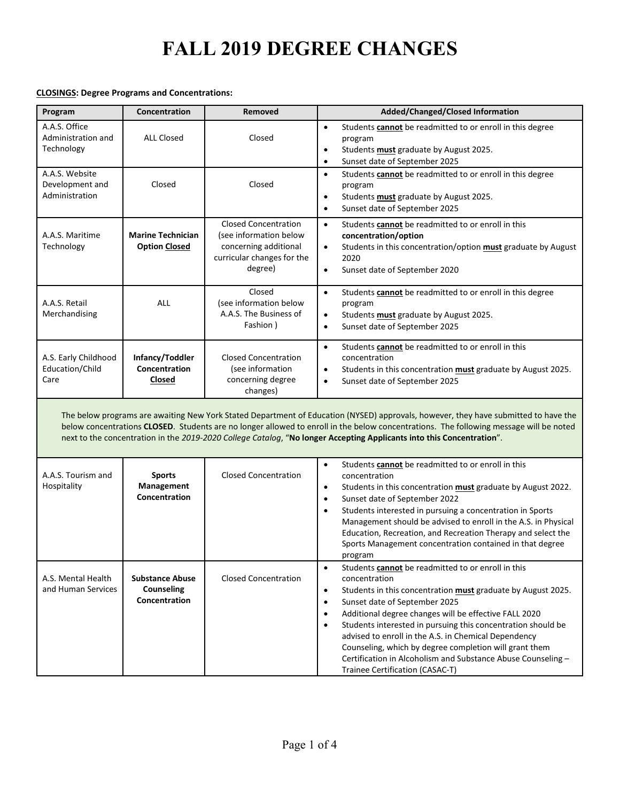#### **CLOSINGS: Degree Programs and Concentrations:**

| Program                                                                                                                                                                                                                                                                                                                                                                                                | Concentration                                         | Removed                                                                                                                 | Added/Changed/Closed Information                                                                                                                                                                                                                                                                                                                                                                                                                                                                                                                                                           |  |  |
|--------------------------------------------------------------------------------------------------------------------------------------------------------------------------------------------------------------------------------------------------------------------------------------------------------------------------------------------------------------------------------------------------------|-------------------------------------------------------|-------------------------------------------------------------------------------------------------------------------------|--------------------------------------------------------------------------------------------------------------------------------------------------------------------------------------------------------------------------------------------------------------------------------------------------------------------------------------------------------------------------------------------------------------------------------------------------------------------------------------------------------------------------------------------------------------------------------------------|--|--|
| A.A.S. Office<br>Administration and<br>Technology                                                                                                                                                                                                                                                                                                                                                      | <b>ALL Closed</b>                                     | Closed                                                                                                                  | Students <b>cannot</b> be readmitted to or enroll in this degree<br>$\bullet$<br>program<br>Students <b>must</b> graduate by August 2025.<br>$\bullet$<br>Sunset date of September 2025<br>$\bullet$                                                                                                                                                                                                                                                                                                                                                                                       |  |  |
| A.A.S. Website<br>Development and<br>Administration                                                                                                                                                                                                                                                                                                                                                    | Closed                                                | Closed                                                                                                                  | Students cannot be readmitted to or enroll in this degree<br>$\bullet$<br>program<br>Students <b>must</b> graduate by August 2025.<br>$\bullet$<br>Sunset date of September 2025<br>$\bullet$                                                                                                                                                                                                                                                                                                                                                                                              |  |  |
| A.A.S. Maritime<br>Technology                                                                                                                                                                                                                                                                                                                                                                          | <b>Marine Technician</b><br><b>Option Closed</b>      | <b>Closed Concentration</b><br>(see information below<br>concerning additional<br>curricular changes for the<br>degree) | $\bullet$<br>Students cannot be readmitted to or enroll in this<br>concentration/option<br>Students in this concentration/option must graduate by August<br>$\bullet$<br>2020<br>Sunset date of September 2020<br>$\bullet$                                                                                                                                                                                                                                                                                                                                                                |  |  |
| A.A.S. Retail<br>Merchandising                                                                                                                                                                                                                                                                                                                                                                         | ALL                                                   | Closed<br>(see information below<br>A.A.S. The Business of<br>Fashion)                                                  | Students cannot be readmitted to or enroll in this degree<br>$\bullet$<br>program<br>Students <b>must</b> graduate by August 2025.<br>$\bullet$<br>Sunset date of September 2025<br>$\bullet$                                                                                                                                                                                                                                                                                                                                                                                              |  |  |
| A.S. Early Childhood<br>Education/Child<br>Care                                                                                                                                                                                                                                                                                                                                                        | Infancy/Toddler<br>Concentration<br>Closed            | <b>Closed Concentration</b><br>(see information<br>concerning degree<br>changes)                                        | Students <b>cannot</b> be readmitted to or enroll in this<br>$\bullet$<br>concentration<br>Students in this concentration must graduate by August 2025.<br>$\bullet$<br>Sunset date of September 2025<br>$\bullet$                                                                                                                                                                                                                                                                                                                                                                         |  |  |
| The below programs are awaiting New York Stated Department of Education (NYSED) approvals, however, they have submitted to have the<br>below concentrations CLOSED. Students are no longer allowed to enroll in the below concentrations. The following message will be noted<br>next to the concentration in the 2019-2020 College Catalog, "No longer Accepting Applicants into this Concentration". |                                                       |                                                                                                                         |                                                                                                                                                                                                                                                                                                                                                                                                                                                                                                                                                                                            |  |  |
| A.A.S. Tourism and<br>Hospitality                                                                                                                                                                                                                                                                                                                                                                      | <b>Sports</b><br>Management<br>Concentration          | <b>Closed Concentration</b>                                                                                             | $\bullet$<br>Students cannot be readmitted to or enroll in this<br>concentration<br>Students in this concentration must graduate by August 2022.<br>$\bullet$<br>Sunset date of September 2022<br>$\bullet$<br>Students interested in pursuing a concentration in Sports<br>$\bullet$<br>Management should be advised to enroll in the A.S. in Physical<br>Education, Recreation, and Recreation Therapy and select the<br>Sports Management concentration contained in that degree<br>program                                                                                             |  |  |
| A.S. Mental Health<br>and Human Services                                                                                                                                                                                                                                                                                                                                                               | <b>Substance Abuse</b><br>Counseling<br>Concentration | <b>Closed Concentration</b>                                                                                             | Students <b>cannot</b> be readmitted to or enroll in this<br>$\bullet$<br>concentration<br>Students in this concentration must graduate by August 2025.<br>$\bullet$<br>Sunset date of September 2025<br>$\bullet$<br>Additional degree changes will be effective FALL 2020<br>$\bullet$<br>Students interested in pursuing this concentration should be<br>$\bullet$<br>advised to enroll in the A.S. in Chemical Dependency<br>Counseling, which by degree completion will grant them<br>Certification in Alcoholism and Substance Abuse Counseling -<br>Trainee Certification (CASAC-T) |  |  |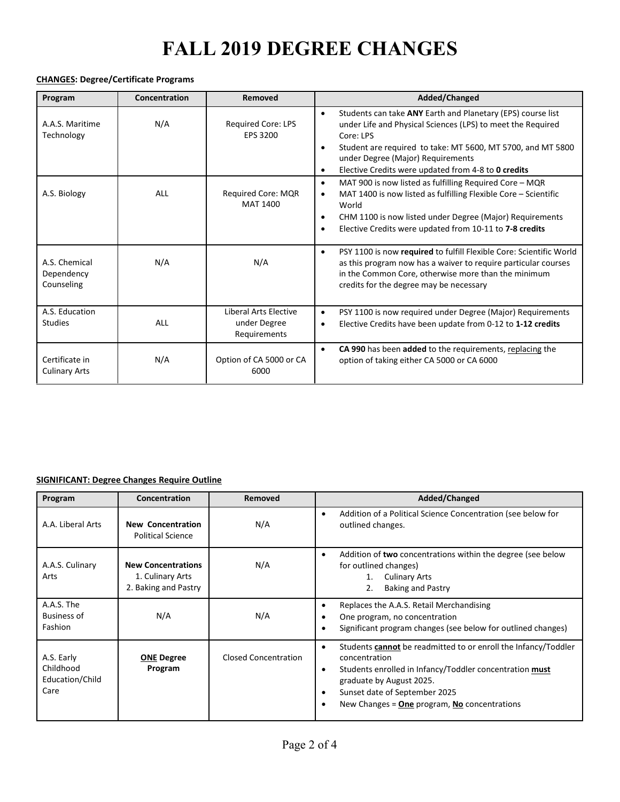#### **CHANGES: Degree/Certificate Programs**

| Program                                   | Concentration | Removed                                               | Added/Changed                                                                                                                                                                                                                                                                                                                             |
|-------------------------------------------|---------------|-------------------------------------------------------|-------------------------------------------------------------------------------------------------------------------------------------------------------------------------------------------------------------------------------------------------------------------------------------------------------------------------------------------|
| A.A.S. Maritime<br>Technology             | N/A           | <b>Required Core: LPS</b><br>EPS 3200                 | Students can take ANY Earth and Planetary (EPS) course list<br>$\bullet$<br>under Life and Physical Sciences (LPS) to meet the Required<br>Core: LPS<br>Student are required to take: MT 5600, MT 5700, and MT 5800<br>$\bullet$<br>under Degree (Major) Requirements<br>Elective Credits were updated from 4-8 to 0 credits<br>$\bullet$ |
| A.S. Biology                              | <b>ALL</b>    | Required Core: MQR<br><b>MAT 1400</b>                 | MAT 900 is now listed as fulfilling Required Core - MQR<br>$\bullet$<br>MAT 1400 is now listed as fulfilling Flexible Core $-$ Scientific<br>$\bullet$<br>World<br>CHM 1100 is now listed under Degree (Major) Requirements<br>$\bullet$<br>Elective Credits were updated from 10-11 to 7-8 credits                                       |
| A.S. Chemical<br>Dependency<br>Counseling | N/A           | N/A                                                   | PSY 1100 is now required to fulfill Flexible Core: Scientific World<br>$\bullet$<br>as this program now has a waiver to require particular courses<br>in the Common Core, otherwise more than the minimum<br>credits for the degree may be necessary                                                                                      |
| A.S. Education<br><b>Studies</b>          | ALL           | Liberal Arts Elective<br>under Degree<br>Requirements | PSY 1100 is now required under Degree (Major) Requirements<br>$\bullet$<br>Elective Credits have been update from 0-12 to 1-12 credits<br>$\bullet$                                                                                                                                                                                       |
| Certificate in<br><b>Culinary Arts</b>    | N/A           | Option of CA 5000 or CA<br>6000                       | CA 990 has been added to the requirements, replacing the<br>$\bullet$<br>option of taking either CA 5000 or CA 6000                                                                                                                                                                                                                       |

#### **SIGNIFICANT: Degree Changes Require Outline**

| Program                                            | Concentration                                                         | Removed                     | Added/Changed                                                                                                                                                                                                                                                                    |
|----------------------------------------------------|-----------------------------------------------------------------------|-----------------------------|----------------------------------------------------------------------------------------------------------------------------------------------------------------------------------------------------------------------------------------------------------------------------------|
| A.A. Liberal Arts                                  | <b>New Concentration</b><br><b>Political Science</b>                  | N/A                         | Addition of a Political Science Concentration (see below for<br>$\bullet$<br>outlined changes.                                                                                                                                                                                   |
| A.A.S. Culinary<br>Arts                            | <b>New Concentrations</b><br>1. Culinary Arts<br>2. Baking and Pastry | N/A                         | Addition of two concentrations within the degree (see below<br>$\bullet$<br>for outlined changes)<br><b>Culinary Arts</b><br>1.<br><b>Baking and Pastry</b><br>2.                                                                                                                |
| A.A.S. The<br><b>Business of</b><br>Fashion        | N/A                                                                   | N/A                         | Replaces the A.A.S. Retail Merchandising<br>٠<br>One program, no concentration<br>Significant program changes (see below for outlined changes)                                                                                                                                   |
| A.S. Early<br>Childhood<br>Education/Child<br>Care | <b>ONE Degree</b><br>Program                                          | <b>Closed Concentration</b> | Students cannot be readmitted to or enroll the Infancy/Toddler<br>$\bullet$<br>concentration<br>Students enrolled in Infancy/Toddler concentration must<br>٠<br>graduate by August 2025.<br>Sunset date of September 2025<br>New Changes $=$ One program, No concentrations<br>٠ |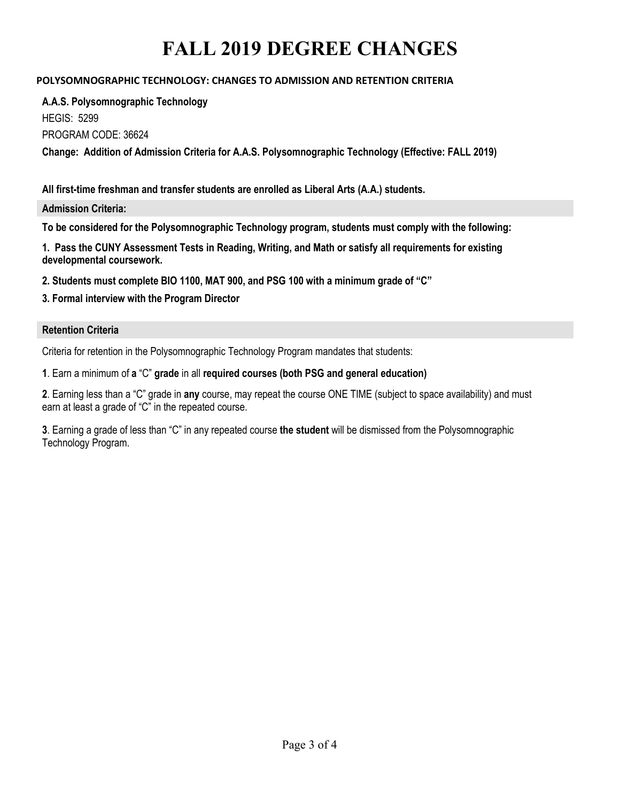## **POLYSOMNOGRAPHIC TECHNOLOGY: CHANGES TO ADMISSION AND RETENTION CRITERIA**

**A.A.S. Polysomnographic Technology**  HEGIS: 5299

PROGRAM CODE: 36624

**Change: Addition of Admission Criteria for A.A.S. Polysomnographic Technology (Effective: FALL 2019)**

**All first-time freshman and transfer students are enrolled as Liberal Arts (A.A.) students.** 

**Admission Criteria:**

**To be considered for the Polysomnographic Technology program, students must comply with the following:**

**1. Pass the CUNY Assessment Tests in Reading, Writing, and Math or satisfy all requirements for existing developmental coursework.**

**2. Students must complete BIO 1100, MAT 900, and PSG 100 with a minimum grade of "C"**

**3. Formal interview with the Program Director**

### **Retention Criteria**

Criteria for retention in the Polysomnographic Technology Program mandates that students:

**1**. Earn a minimum of **a** "C" **grade** in all **required courses (both PSG and general education)** 

**2**. Earning less than a "C" grade in **any** course, may repeat the course ONE TIME (subject to space availability) and must earn at least a grade of "C" in the repeated course.

**3**. Earning a grade of less than "C" in any repeated course **the student** will be dismissed from the Polysomnographic Technology Program.